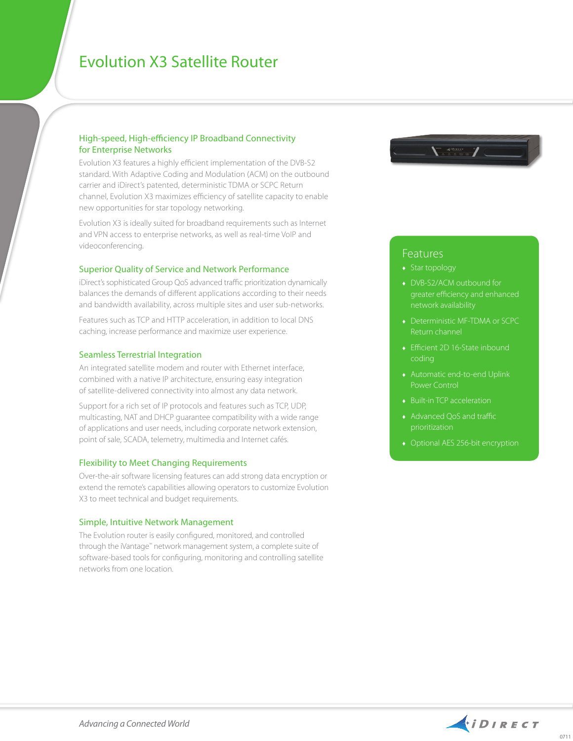# Evolution X3 Satellite Router

## High-speed, High-efficiency IP Broadband Connectivity for Enterprise Networks

Evolution X3 features a highly efficient implementation of the DVB-S2 standard. With Adaptive Coding and Modulation (ACM) on the outbound carrier and iDirect's patented, deterministic TDMA or SCPC Return channel, Evolution X3 maximizes efficiency of satellite capacity to enable new opportunities for star topology networking.

Evolution X3 is ideally suited for broadband requirements such as Internet and VPN access to enterprise networks, as well as real-time VoIP and videoconferencing.

#### Superior Quality of Service and Network Performance

iDirect's sophisticated Group QoS advanced traffic prioritization dynamically balances the demands of different applications according to their needs and bandwidth availability, across multiple sites and user sub-networks.

Features such as TCP and HTTP acceleration, in addition to local DNS caching, increase performance and maximize user experience.

#### Seamless Terrestrial Integration

An integrated satellite modem and router with Ethernet interface, combined with a native IP architecture, ensuring easy integration of satellite-delivered connectivity into almost any data network.

Support for a rich set of IP protocols and features such as TCP, UDP, multicasting, NAT and DHCP guarantee compatibility with a wide range of applications and user needs, including corporate network extension, point of sale, SCADA, telemetry, multimedia and Internet cafés.

### Flexibility to Meet Changing Requirements

Over-the-air software licensing features can add strong data encryption or extend the remote's capabilities allowing operators to customize Evolution X3 to meet technical and budget requirements.

#### Simple, Intuitive Network Management

The Evolution router is easily configured, monitored, and controlled through the iVantage™ network management system, a complete suite of software-based tools for configuring, monitoring and controlling satellite networks from one location.



# Features

- Star topology
- ♦ DVB-S2/ACM outbound for greater efficiency and enhanced network availability
- ♦ Deterministic MF-TDMA or SCPC Return channel
- ♦ Efficient 2D 16-State inbound coding
- ♦ Automatic end-to-end Uplink Power Control
- ♦ Built-in TCP acceleration
- ♦ Advanced QoS and traffic prioritization
-